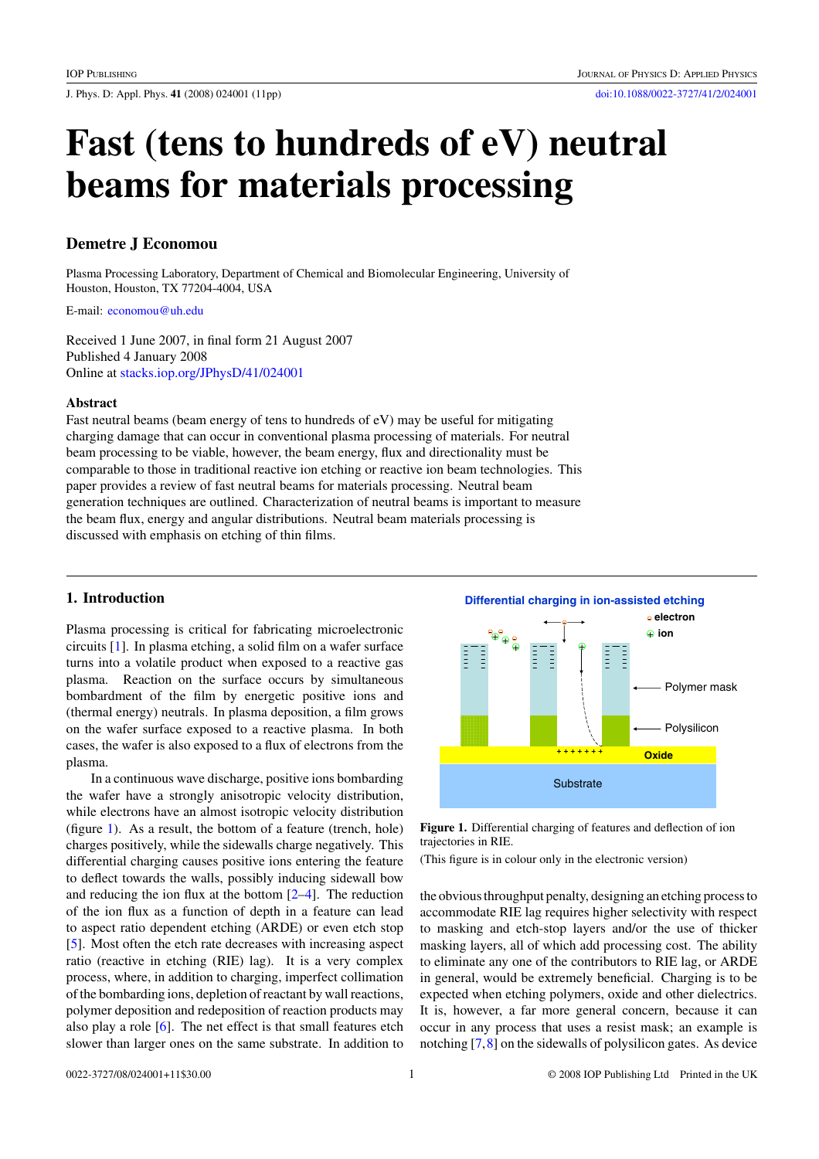J. Phys. D: Appl. Phys. **41** (2008) 024001 (11pp) [doi:10.1088/0022-3727/41/2/024001](http://dx.doi.org/10.1088/0022-3727/41/2/024001)

# **Fast (tens to hundreds of eV) neutral beams for materials processing**

# **Demetre J Economou**

Plasma Processing Laboratory, Department of Chemical and Biomolecular Engineering, University of Houston, Houston, TX 77204-4004, USA

E-mail: [economou@uh.edu](mailto: economou@uh.edu)

Received 1 June 2007, in final form 21 August 2007 Published 4 January 2008 Online at [stacks.iop.org/JPhysD/41/024001](http://stacks.iop.org/JPhysD/41/024001)

# **Abstract**

Fast neutral beams (beam energy of tens to hundreds of eV) may be useful for mitigating charging damage that can occur in conventional plasma processing of materials. For neutral beam processing to be viable, however, the beam energy, flux and directionality must be comparable to those in traditional reactive ion etching or reactive ion beam technologies. This paper provides a review of fast neutral beams for materials processing. Neutral beam generation techniques are outlined. Characterization of neutral beams is important to measure the beam flux, energy and angular distributions. Neutral beam materials processing is discussed with emphasis on etching of thin films.

# **1. Introduction**

Plasma processing is critical for fabricating microelectronic circuits [\[1\]](#page-9-0). In plasma etching, a solid film on a wafer surface turns into a volatile product when exposed to a reactive gas plasma. Reaction on the surface occurs by simultaneous bombardment of the film by energetic positive ions and (thermal energy) neutrals. In plasma deposition, a film grows on the wafer surface exposed to a reactive plasma. In both cases, the wafer is also exposed to a flux of electrons from the plasma.

In a continuous wave discharge, positive ions bombarding the wafer have a strongly anisotropic velocity distribution, while electrons have an almost isotropic velocity distribution (figure 1). As a result, the bottom of a feature (trench, hole) charges positively, while the sidewalls charge negatively. This differential charging causes positive ions entering the feature to deflect towards the walls, possibly inducing sidewall bow and reducing the ion flux at the bottom [\[2–4\]](#page-9-0). The reduction of the ion flux as a function of depth in a feature can lead to aspect ratio dependent etching (ARDE) or even etch stop [\[5\]](#page-9-0). Most often the etch rate decreases with increasing aspect ratio (reactive in etching (RIE) lag). It is a very complex process, where, in addition to charging, imperfect collimation of the bombarding ions, depletion of reactant by wall reactions, polymer deposition and redeposition of reaction products may also play a role [\[6\]](#page-9-0). The net effect is that small features etch slower than larger ones on the same substrate. In addition to



**Figure 1.** Differential charging of features and deflection of ion trajectories in RIE.

(This figure is in colour only in the electronic version)

the obvious throughput penalty, designing an etching process to accommodate RIE lag requires higher selectivity with respect to masking and etch-stop layers and/or the use of thicker masking layers, all of which add processing cost. The ability to eliminate any one of the contributors to RIE lag, or ARDE in general, would be extremely beneficial. Charging is to be expected when etching polymers, oxide and other dielectrics. It is, however, a far more general concern, because it can occur in any process that uses a resist mask; an example is notching [\[7,8\]](#page-9-0) on the sidewalls of polysilicon gates. As device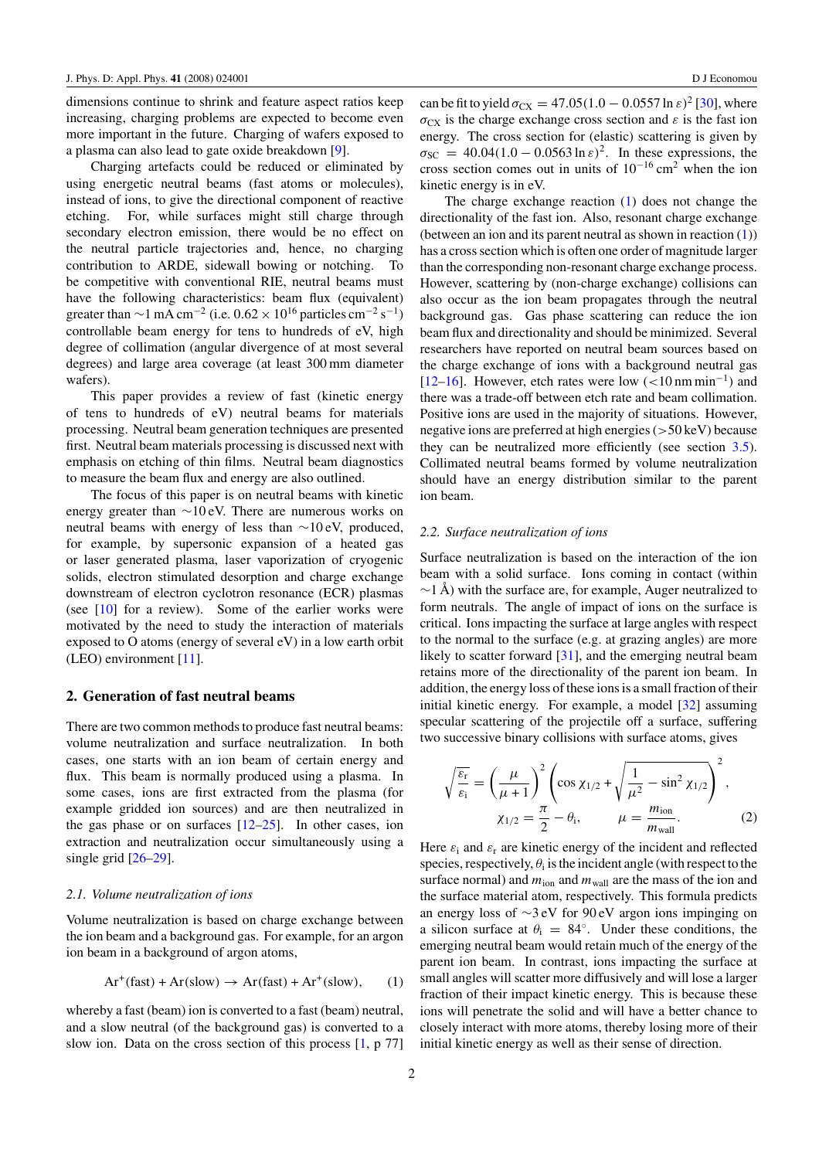<span id="page-1-0"></span>dimensions continue to shrink and feature aspect ratios keep increasing, charging problems are expected to become even more important in the future. Charging of wafers exposed to a plasma can also lead to gate oxide breakdown [\[9\]](#page-9-0).

Charging artefacts could be reduced or eliminated by using energetic neutral beams (fast atoms or molecules), instead of ions, to give the directional component of reactive etching. For, while surfaces might still charge through secondary electron emission, there would be no effect on the neutral particle trajectories and, hence, no charging contribution to ARDE, sidewall bowing or notching. To be competitive with conventional RIE, neutral beams must have the following characteristics: beam flux (equivalent) greater than  $\sim$ 1 mA cm<sup>-2</sup> (i.e. 0.62 × 10<sup>16</sup> particles cm<sup>-2</sup> s<sup>-1</sup>) controllable beam energy for tens to hundreds of eV, high degree of collimation (angular divergence of at most several degrees) and large area coverage (at least 300 mm diameter wafers).

This paper provides a review of fast (kinetic energy of tens to hundreds of eV) neutral beams for materials processing. Neutral beam generation techniques are presented first. Neutral beam materials processing is discussed next with emphasis on etching of thin films. Neutral beam diagnostics to measure the beam flux and energy are also outlined.

The focus of this paper is on neutral beams with kinetic energy greater than ∼10 eV. There are numerous works on neutral beams with energy of less than ∼10 eV, produced, for example, by supersonic expansion of a heated gas or laser generated plasma, laser vaporization of cryogenic solids, electron stimulated desorption and charge exchange downstream of electron cyclotron resonance (ECR) plasmas (see [\[10\]](#page-9-0) for a review). Some of the earlier works were motivated by the need to study the interaction of materials exposed to O atoms (energy of several eV) in a low earth orbit (LEO) environment [\[11\]](#page-9-0).

# **2. Generation of fast neutral beams**

There are two common methods to produce fast neutral beams: volume neutralization and surface neutralization. In both cases, one starts with an ion beam of certain energy and flux. This beam is normally produced using a plasma. In some cases, ions are first extracted from the plasma (for example gridded ion sources) and are then neutralized in the gas phase or on surfaces  $[12-25]$ . In other cases, ion extraction and neutralization occur simultaneously using a single grid [\[26–29\]](#page-9-0).

#### *2.1. Volume neutralization of ions*

Volume neutralization is based on charge exchange between the ion beam and a background gas. For example, for an argon ion beam in a background of argon atoms,

$$
Ar^{+}(fast) + Ar(slow) \rightarrow Ar(fast) + Ar^{+}(slow), \qquad (1)
$$

whereby a fast (beam) ion is converted to a fast (beam) neutral, and a slow neutral (of the background gas) is converted to a slow ion. Data on the cross section of this process [\[1,](#page-9-0) p 77] can be fit to yield  $\sigma_{CX} = 47.05(1.0 - 0.0557 \ln \epsilon)^2$  [\[30\]](#page-9-0), where  $\sigma_{CX}$  is the charge exchange cross section and  $\varepsilon$  is the fast ion energy. The cross section for (elastic) scattering is given by  $\sigma_{SC}$  = 40.04(1.0 – 0.0563 ln  $\varepsilon$ )<sup>2</sup>. In these expressions, the cross section comes out in units of  $10^{-16}$  cm<sup>2</sup> when the ion kinetic energy is in eV.

The charge exchange reaction (1) does not change the directionality of the fast ion. Also, resonant charge exchange (between an ion and its parent neutral as shown in reaction (1)) has a cross section which is often one order of magnitude larger than the corresponding non-resonant charge exchange process. However, scattering by (non-charge exchange) collisions can also occur as the ion beam propagates through the neutral background gas. Gas phase scattering can reduce the ion beam flux and directionality and should be minimized. Several researchers have reported on neutral beam sources based on the charge exchange of ions with a background neutral gas [\[12–16\]](#page-9-0). However, etch rates were low (*<*10 nm min−1) and there was a trade-off between etch rate and beam collimation. Positive ions are used in the majority of situations. However, negative ions are preferred at high energies (*>*50 keV) because they can be neutralized more efficiently (see section [3.5\)](#page-7-0). Collimated neutral beams formed by volume neutralization should have an energy distribution similar to the parent ion beam.

#### *2.2. Surface neutralization of ions*

Surface neutralization is based on the interaction of the ion beam with a solid surface. Ions coming in contact (within  $\sim$ 1 Å) with the surface are, for example, Auger neutralized to form neutrals. The angle of impact of ions on the surface is critical. Ions impacting the surface at large angles with respect to the normal to the surface (e.g. at grazing angles) are more likely to scatter forward [\[31\]](#page-9-0), and the emerging neutral beam retains more of the directionality of the parent ion beam. In addition, the energy loss of these ions is a small fraction of their initial kinetic energy. For example, a model [\[32\]](#page-9-0) assuming specular scattering of the projectile off a surface, suffering two successive binary collisions with surface atoms, gives

$$
\sqrt{\frac{\varepsilon_{\rm r}}{\varepsilon_{\rm i}}} = \left(\frac{\mu}{\mu + 1}\right)^2 \left(\cos \chi_{1/2} + \sqrt{\frac{1}{\mu^2} - \sin^2 \chi_{1/2}}\right)^2, \n\chi_{1/2} = \frac{\pi}{2} - \theta_{\rm i}, \qquad \mu = \frac{m_{\rm ion}}{m_{\rm wall}}.
$$
\n(2)

Here  $\varepsilon_i$  and  $\varepsilon_r$  are kinetic energy of the incident and reflected species, respectively,  $\theta_i$  is the incident angle (with respect to the surface normal) and  $m_{\text{ion}}$  and  $m_{\text{wall}}$  are the mass of the ion and the surface material atom, respectively. This formula predicts an energy loss of ∼3 eV for 90 eV argon ions impinging on a silicon surface at  $\theta_i = 84^\circ$ . Under these conditions, the emerging neutral beam would retain much of the energy of the parent ion beam. In contrast, ions impacting the surface at small angles will scatter more diffusively and will lose a larger fraction of their impact kinetic energy. This is because these ions will penetrate the solid and will have a better chance to closely interact with more atoms, thereby losing more of their initial kinetic energy as well as their sense of direction.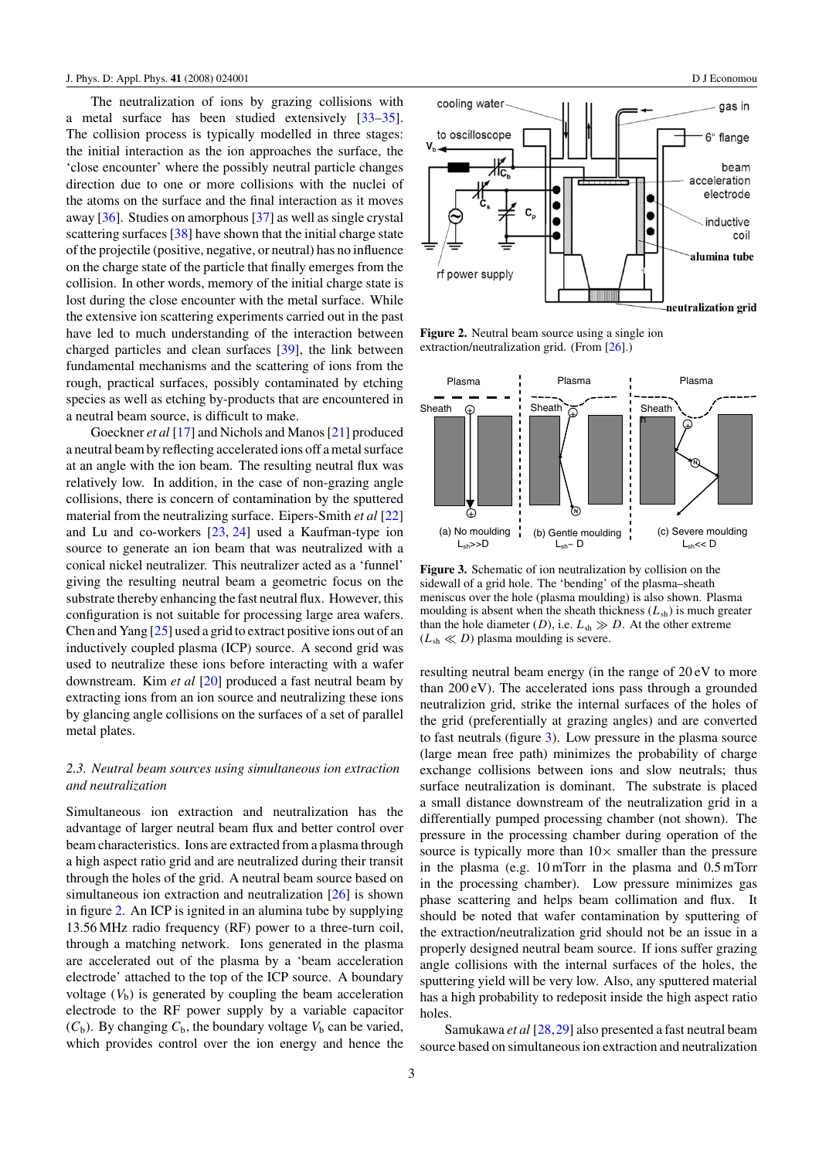<span id="page-2-0"></span>The neutralization of ions by grazing collisions with a metal surface has been studied extensively [\[33–35\]](#page-9-0). The collision process is typically modelled in three stages: the initial interaction as the ion approaches the surface, the 'close encounter' where the possibly neutral particle changes direction due to one or more collisions with the nuclei of the atoms on the surface and the final interaction as it moves away [\[36\]](#page-9-0). Studies on amorphous [\[37\]](#page-9-0) as well as single crystal scattering surfaces [\[38\]](#page-9-0) have shown that the initial charge state of the projectile (positive, negative, or neutral) has no influence on the charge state of the particle that finally emerges from the collision. In other words, memory of the initial charge state is lost during the close encounter with the metal surface. While the extensive ion scattering experiments carried out in the past have led to much understanding of the interaction between charged particles and clean surfaces [\[39\]](#page-9-0), the link between fundamental mechanisms and the scattering of ions from the rough, practical surfaces, possibly contaminated by etching species as well as etching by-products that are encountered in a neutral beam source, is difficult to make.

Goeckner *et al* [\[17\]](#page-9-0) and Nichols and Manos [\[21\]](#page-9-0) produced a neutral beam by reflecting accelerated ions off a metal surface at an angle with the ion beam. The resulting neutral flux was relatively low. In addition, in the case of non-grazing angle collisions, there is concern of contamination by the sputtered material from the neutralizing surface. Eipers-Smith *et al* [\[22\]](#page-9-0) and Lu and co-workers [\[23,](#page-9-0) [24\]](#page-9-0) used a Kaufman-type ion source to generate an ion beam that was neutralized with a conical nickel neutralizer. This neutralizer acted as a 'funnel' giving the resulting neutral beam a geometric focus on the substrate thereby enhancing the fast neutral flux. However, this configuration is not suitable for processing large area wafers. Chen and Yang [\[25\]](#page-9-0) used a grid to extract positive ions out of an inductively coupled plasma (ICP) source. A second grid was used to neutralize these ions before interacting with a wafer downstream. Kim *et al* [\[20\]](#page-9-0) produced a fast neutral beam by extracting ions from an ion source and neutralizing these ions by glancing angle collisions on the surfaces of a set of parallel metal plates.

# *2.3. Neutral beam sources using simultaneous ion extraction and neutralization*

Simultaneous ion extraction and neutralization has the advantage of larger neutral beam flux and better control over beam characteristics. Ions are extracted from a plasma through a high aspect ratio grid and are neutralized during their transit through the holes of the grid. A neutral beam source based on simultaneous ion extraction and neutralization [\[26\]](#page-9-0) is shown in figure 2. An ICP is ignited in an alumina tube by supplying 13.56 MHz radio frequency (RF) power to a three-turn coil, through a matching network. Ions generated in the plasma are accelerated out of the plasma by a 'beam acceleration electrode' attached to the top of the ICP source. A boundary voltage  $(V<sub>b</sub>)$  is generated by coupling the beam acceleration electrode to the RF power supply by a variable capacitor  $(C_b)$ . By changing  $C_b$ , the boundary voltage  $V_b$  can be varied, which provides control over the ion energy and hence the



**Figure 2.** Neutral beam source using a single ion extraction/neutralization grid. (From [\[26\]](#page-9-0).)



**Figure 3.** Schematic of ion neutralization by collision on the sidewall of a grid hole. The 'bending' of the plasma–sheath meniscus over the hole (plasma moulding) is also shown. Plasma moulding is absent when the sheath thickness  $(L_{sh})$  is much greater than the hole diameter (*D*), i.e.  $L_{sh} \gg D$ . At the other extreme  $(L<sub>sh</sub> \ll D)$  plasma moulding is severe.

resulting neutral beam energy (in the range of 20 eV to more than 200 eV). The accelerated ions pass through a grounded neutralizion grid, strike the internal surfaces of the holes of the grid (preferentially at grazing angles) and are converted to fast neutrals (figure 3). Low pressure in the plasma source (large mean free path) minimizes the probability of charge exchange collisions between ions and slow neutrals; thus surface neutralization is dominant. The substrate is placed a small distance downstream of the neutralization grid in a differentially pumped processing chamber (not shown). The pressure in the processing chamber during operation of the source is typically more than  $10\times$  smaller than the pressure in the plasma (e.g. 10 mTorr in the plasma and 0.5 mTorr in the processing chamber). Low pressure minimizes gas phase scattering and helps beam collimation and flux. It should be noted that wafer contamination by sputtering of the extraction/neutralization grid should not be an issue in a properly designed neutral beam source. If ions suffer grazing angle collisions with the internal surfaces of the holes, the sputtering yield will be very low. Also, any sputtered material has a high probability to redeposit inside the high aspect ratio holes.

Samukawa *et al* [\[28,29\]](#page-9-0) also presented a fast neutral beam source based on simultaneous ion extraction and neutralization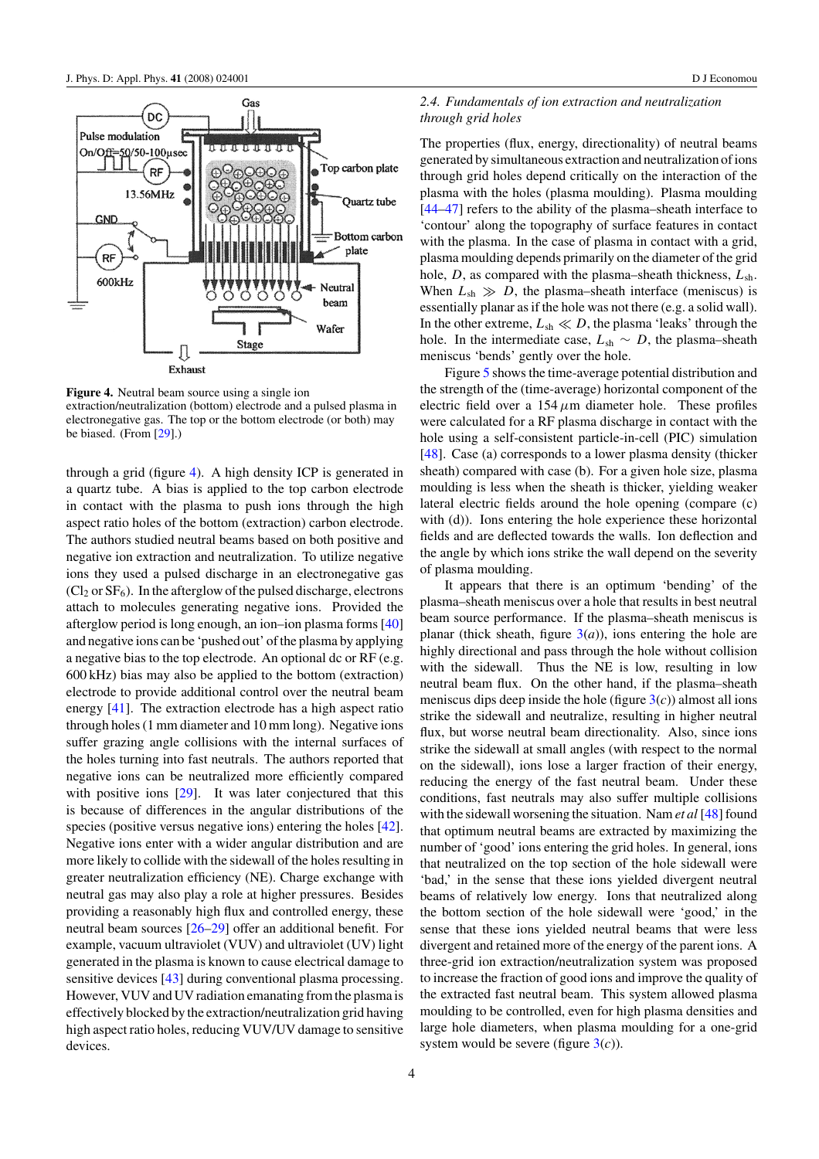

**Figure 4.** Neutral beam source using a single ion extraction/neutralization (bottom) electrode and a pulsed plasma in electronegative gas. The top or the bottom electrode (or both) may be biased. (From [\[29\]](#page-9-0).)

through a grid (figure 4). A high density ICP is generated in a quartz tube. A bias is applied to the top carbon electrode in contact with the plasma to push ions through the high aspect ratio holes of the bottom (extraction) carbon electrode. The authors studied neutral beams based on both positive and negative ion extraction and neutralization. To utilize negative ions they used a pulsed discharge in an electronegative gas  $(Cl<sub>2</sub>$  or  $SF<sub>6</sub>)$ . In the afterglow of the pulsed discharge, electrons attach to molecules generating negative ions. Provided the afterglow period is long enough, an ion–ion plasma forms [\[40\]](#page-9-0) and negative ions can be 'pushed out' of the plasma by applying a negative bias to the top electrode. An optional dc or RF (e.g. 600 kHz) bias may also be applied to the bottom (extraction) electrode to provide additional control over the neutral beam energy [\[41\]](#page-9-0). The extraction electrode has a high aspect ratio through holes (1 mm diameter and 10 mm long). Negative ions suffer grazing angle collisions with the internal surfaces of the holes turning into fast neutrals. The authors reported that negative ions can be neutralized more efficiently compared with positive ions [\[29\]](#page-9-0). It was later conjectured that this is because of differences in the angular distributions of the species (positive versus negative ions) entering the holes [\[42\]](#page-9-0). Negative ions enter with a wider angular distribution and are more likely to collide with the sidewall of the holes resulting in greater neutralization efficiency (NE). Charge exchange with neutral gas may also play a role at higher pressures. Besides providing a reasonably high flux and controlled energy, these neutral beam sources [\[26–29\]](#page-9-0) offer an additional benefit. For example, vacuum ultraviolet (VUV) and ultraviolet (UV) light generated in the plasma is known to cause electrical damage to sensitive devices [\[43\]](#page-9-0) during conventional plasma processing. However, VUV and UV radiation emanating from the plasma is effectively blocked by the extraction/neutralization grid having high aspect ratio holes, reducing VUV/UV damage to sensitive devices.

# *2.4. Fundamentals of ion extraction and neutralization through grid holes*

The properties (flux, energy, directionality) of neutral beams generated by simultaneous extraction and neutralization of ions through grid holes depend critically on the interaction of the plasma with the holes (plasma moulding). Plasma moulding [\[44–47\]](#page-9-0) refers to the ability of the plasma–sheath interface to 'contour' along the topography of surface features in contact with the plasma. In the case of plasma in contact with a grid, plasma moulding depends primarily on the diameter of the grid hole, *D*, as compared with the plasma–sheath thickness, *L*sh. When  $L_{sh} \gg D$ , the plasma–sheath interface (meniscus) is essentially planar as if the hole was not there (e.g. a solid wall). In the other extreme,  $L_{\rm sh} \ll D$ , the plasma 'leaks' through the hole. In the intermediate case,  $L_{\rm sh} \sim D$ , the plasma–sheath meniscus 'bends' gently over the hole.

Figure [5](#page-4-0) shows the time-average potential distribution and the strength of the (time-average) horizontal component of the electric field over a  $154 \mu m$  diameter hole. These profiles were calculated for a RF plasma discharge in contact with the hole using a self-consistent particle-in-cell (PIC) simulation [\[48\]](#page-9-0). Case (a) corresponds to a lower plasma density (thicker sheath) compared with case (b). For a given hole size, plasma moulding is less when the sheath is thicker, yielding weaker lateral electric fields around the hole opening (compare (c) with (d)). Ions entering the hole experience these horizontal fields and are deflected towards the walls. Ion deflection and the angle by which ions strike the wall depend on the severity of plasma moulding.

It appears that there is an optimum 'bending' of the plasma–sheath meniscus over a hole that results in best neutral beam source performance. If the plasma–sheath meniscus is planar (thick sheath, figure  $3(a)$  $3(a)$ ), ions entering the hole are highly directional and pass through the hole without collision with the sidewall. Thus the NE is low, resulting in low neutral beam flux. On the other hand, if the plasma–sheath meniscus dips deep inside the hole (figure  $3(c)$  $3(c)$ ) almost all ions strike the sidewall and neutralize, resulting in higher neutral flux, but worse neutral beam directionality. Also, since ions strike the sidewall at small angles (with respect to the normal on the sidewall), ions lose a larger fraction of their energy, reducing the energy of the fast neutral beam. Under these conditions, fast neutrals may also suffer multiple collisions with the sidewall worsening the situation. Nam *et al* [\[48\]](#page-9-0) found that optimum neutral beams are extracted by maximizing the number of 'good' ions entering the grid holes. In general, ions that neutralized on the top section of the hole sidewall were 'bad,' in the sense that these ions yielded divergent neutral beams of relatively low energy. Ions that neutralized along the bottom section of the hole sidewall were 'good,' in the sense that these ions yielded neutral beams that were less divergent and retained more of the energy of the parent ions. A three-grid ion extraction/neutralization system was proposed to increase the fraction of good ions and improve the quality of the extracted fast neutral beam. This system allowed plasma moulding to be controlled, even for high plasma densities and large hole diameters, when plasma moulding for a one-grid system would be severe (figure  $3(c)$  $3(c)$ ).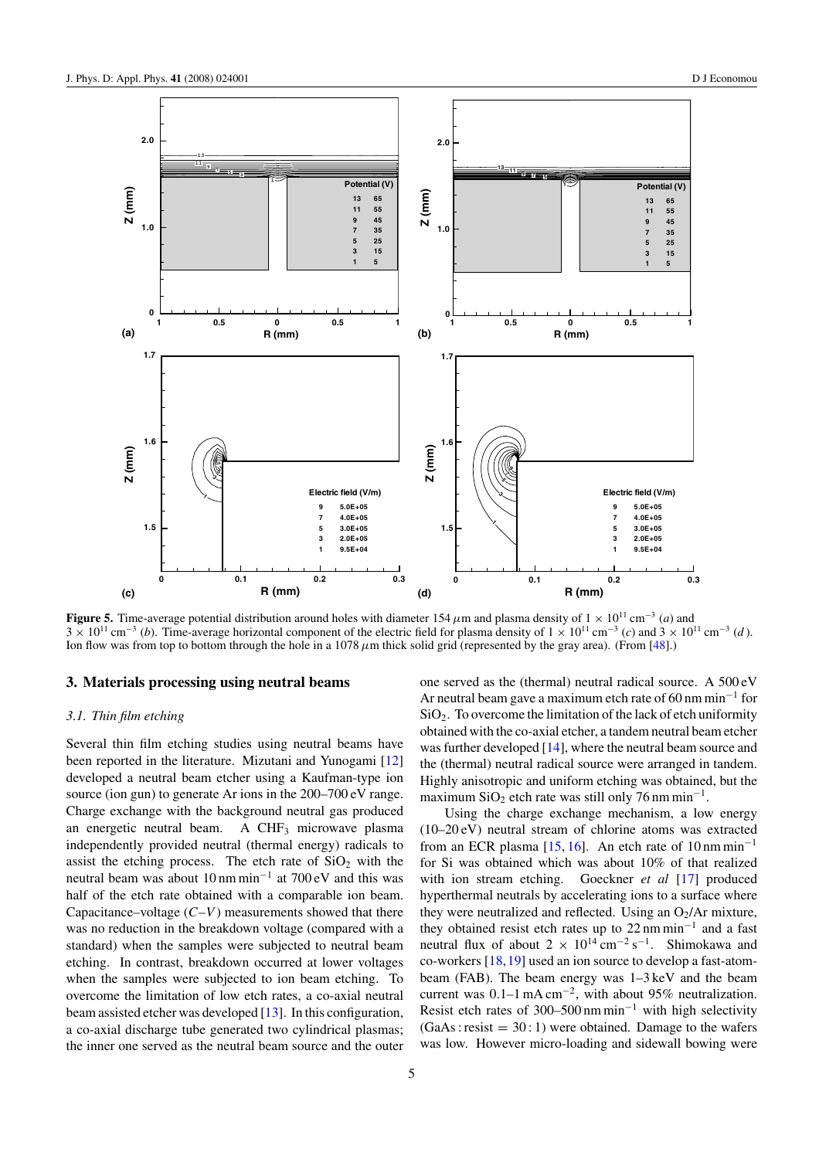<span id="page-4-0"></span>

**Figure 5.** Time-average potential distribution around holes with diameter 154  $\mu$ m and plasma density of 1 × 10<sup>11</sup> cm<sup>-3</sup> (*a*) and 3 × 10<sup>11</sup> cm−<sup>3</sup> (*b*). Time-average horizontal component of the electric field for plasma density of 1 × 10<sup>11</sup> cm−<sup>3</sup> (*c*) and 3 × 10<sup>11</sup> cm−<sup>3</sup> (*d* ). Ion flow was from top to bottom through the hole in a 1078*µ*m thick solid grid (represented by the gray area). (From [\[48\]](#page-9-0).)

#### **3. Materials processing using neutral beams**

### *3.1. Thin film etching*

Several thin film etching studies using neutral beams have been reported in the literature. Mizutani and Yunogami [\[12\]](#page-9-0) developed a neutral beam etcher using a Kaufman-type ion source (ion gun) to generate Ar ions in the 200–700 eV range. Charge exchange with the background neutral gas produced an energetic neutral beam. A  $CHF<sub>3</sub>$  microwave plasma independently provided neutral (thermal energy) radicals to assist the etching process. The etch rate of  $SiO<sub>2</sub>$  with the neutral beam was about 10 nm min−<sup>1</sup> at 700 eV and this was half of the etch rate obtained with a comparable ion beam. Capacitance–voltage  $(C-V)$  measurements showed that there was no reduction in the breakdown voltage (compared with a standard) when the samples were subjected to neutral beam etching. In contrast, breakdown occurred at lower voltages when the samples were subjected to ion beam etching. To overcome the limitation of low etch rates, a co-axial neutral beam assisted etcher was developed [\[13\]](#page-9-0). In this configuration, a co-axial discharge tube generated two cylindrical plasmas; the inner one served as the neutral beam source and the outer

one served as the (thermal) neutral radical source. A 500 eV Ar neutral beam gave a maximum etch rate of 60 nm min−<sup>1</sup> for  $SiO<sub>2</sub>$ . To overcome the limitation of the lack of etch uniformity obtained with the co-axial etcher, a tandem neutral beam etcher was further developed [\[14\]](#page-9-0), where the neutral beam source and the (thermal) neutral radical source were arranged in tandem. Highly anisotropic and uniform etching was obtained, but the maximum SiO<sub>2</sub> etch rate was still only 76 nm min<sup>-1</sup>.

Using the charge exchange mechanism, a low energy (10–20 eV) neutral stream of chlorine atoms was extracted from an ECR plasma [\[15,](#page-9-0) [16\]](#page-9-0). An etch rate of 10 nm min<sup>-1</sup> for Si was obtained which was about 10% of that realized with ion stream etching. Goeckner *et al* [\[17\]](#page-9-0) produced hyperthermal neutrals by accelerating ions to a surface where they were neutralized and reflected. Using an  $O_2/Ar$  mixture, they obtained resist etch rates up to 22 nm min−<sup>1</sup> and a fast neutral flux of about  $2 \times 10^{14}$  cm<sup>-2</sup> s<sup>-1</sup>. Shimokawa and co-workers [\[18,19\]](#page-9-0) used an ion source to develop a fast-atombeam (FAB). The beam energy was 1–3 keV and the beam current was 0.1–1 mA cm−2, with about 95% neutralization. Resist etch rates of 300–500 nm min<sup>-1</sup> with high selectivity  $(GaAs : resist = 30:1)$  were obtained. Damage to the wafers was low. However micro-loading and sidewall bowing were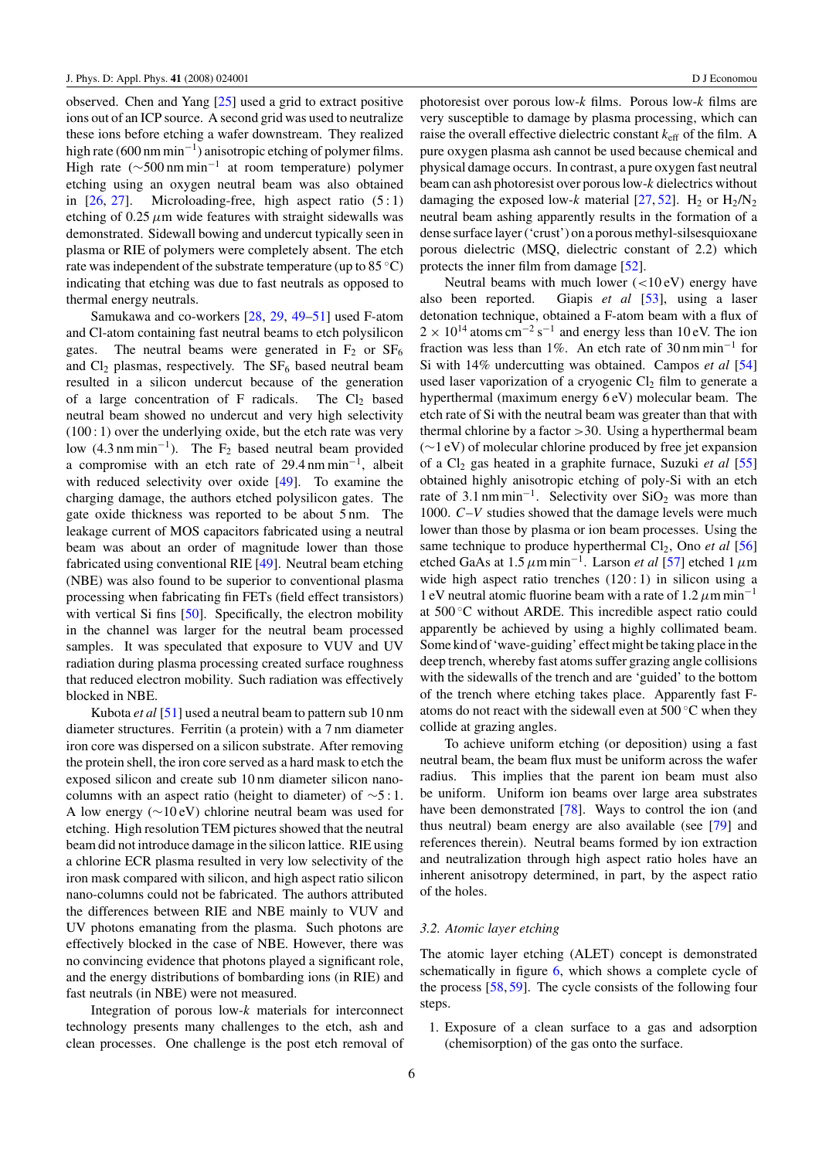observed. Chen and Yang [\[25\]](#page-9-0) used a grid to extract positive ions out of an ICP source. A second grid was used to neutralize these ions before etching a wafer downstream. They realized high rate (600 nm min<sup>-1</sup>) anisotropic etching of polymer films. High rate ( $\sim$ 500 nm min<sup>-1</sup> at room temperature) polymer etching using an oxygen neutral beam was also obtained in  $[26, 27]$  $[26, 27]$  $[26, 27]$ . Microloading-free, high aspect ratio  $(5:1)$ etching of  $0.25 \mu m$  wide features with straight sidewalls was demonstrated. Sidewall bowing and undercut typically seen in plasma or RIE of polymers were completely absent. The etch rate was independent of the substrate temperature (up to 85 ◦C) indicating that etching was due to fast neutrals as opposed to thermal energy neutrals.

Samukawa and co-workers [\[28,](#page-9-0) [29,](#page-9-0) [49](#page-9-0)[–51\]](#page-10-0) used F-atom and Cl-atom containing fast neutral beams to etch polysilicon gates. The neutral beams were generated in  $F_2$  or  $SF_6$ and  $Cl_2$  plasmas, respectively. The  $SF_6$  based neutral beam resulted in a silicon undercut because of the generation of a large concentration of F radicals. The  $Cl_2$  based neutral beam showed no undercut and very high selectivity  $(100:1)$  over the underlying oxide, but the etch rate was very low  $(4.3 \text{ nm min}^{-1})$ . The F<sub>2</sub> based neutral beam provided a compromise with an etch rate of 29.4 nm min−1, albeit with reduced selectivity over oxide [\[49\]](#page-9-0). To examine the charging damage, the authors etched polysilicon gates. The gate oxide thickness was reported to be about 5 nm. The leakage current of MOS capacitors fabricated using a neutral beam was about an order of magnitude lower than those fabricated using conventional RIE [\[49\]](#page-9-0). Neutral beam etching (NBE) was also found to be superior to conventional plasma processing when fabricating fin FETs (field effect transistors) with vertical Si fins [\[50\]](#page-9-0). Specifically, the electron mobility in the channel was larger for the neutral beam processed samples. It was speculated that exposure to VUV and UV radiation during plasma processing created surface roughness that reduced electron mobility. Such radiation was effectively blocked in NBE.

Kubota *et al* [\[51\]](#page-10-0) used a neutral beam to pattern sub 10 nm diameter structures. Ferritin (a protein) with a 7 nm diameter iron core was dispersed on a silicon substrate. After removing the protein shell, the iron core served as a hard mask to etch the exposed silicon and create sub 10 nm diameter silicon nanocolumns with an aspect ratio (height to diameter) of  $\sim$ 5:1. A low energy (∼10 eV) chlorine neutral beam was used for etching. High resolution TEM pictures showed that the neutral beam did not introduce damage in the silicon lattice. RIE using a chlorine ECR plasma resulted in very low selectivity of the iron mask compared with silicon, and high aspect ratio silicon nano-columns could not be fabricated. The authors attributed the differences between RIE and NBE mainly to VUV and UV photons emanating from the plasma. Such photons are effectively blocked in the case of NBE. However, there was no convincing evidence that photons played a significant role, and the energy distributions of bombarding ions (in RIE) and fast neutrals (in NBE) were not measured.

Integration of porous low-*k* materials for interconnect technology presents many challenges to the etch, ash and clean processes. One challenge is the post etch removal of photoresist over porous low-*k* films. Porous low-*k* films are very susceptible to damage by plasma processing, which can raise the overall effective dielectric constant  $k_{\text{eff}}$  of the film. A pure oxygen plasma ash cannot be used because chemical and physical damage occurs. In contrast, a pure oxygen fast neutral beam can ash photoresist over porous low-*k* dielectrics without damaging the exposed low- $k$  material [\[27,](#page-9-0) [52\]](#page-10-0). H<sub>2</sub> or H<sub>2</sub>/N<sub>2</sub> neutral beam ashing apparently results in the formation of a dense surface layer ('crust') on a porous methyl-silsesquioxane porous dielectric (MSQ, dielectric constant of 2.2) which protects the inner film from damage [\[52\]](#page-10-0).

Neutral beams with much lower (*<*10 eV) energy have also been reported. Giapis *et al* [\[53\]](#page-10-0), using a laser detonation technique, obtained a F-atom beam with a flux of  $2 \times 10^{14}$  atoms cm<sup>-2</sup> s<sup>-1</sup> and energy less than 10 eV. The ion fraction was less than 1%. An etch rate of 30 nm min−<sup>1</sup> for Si with 14% undercutting was obtained. Campos *et al* [\[54\]](#page-10-0) used laser vaporization of a cryogenic  $Cl<sub>2</sub>$  film to generate a hyperthermal (maximum energy 6 eV) molecular beam. The etch rate of Si with the neutral beam was greater than that with thermal chlorine by a factor *>*30. Using a hyperthermal beam (∼1 eV) of molecular chlorine produced by free jet expansion of a Cl2 gas heated in a graphite furnace, Suzuki *et al* [\[55\]](#page-10-0) obtained highly anisotropic etching of poly-Si with an etch rate of 3.1 nm min<sup>-1</sup>. Selectivity over SiO<sub>2</sub> was more than 1000. *C*–*V* studies showed that the damage levels were much lower than those by plasma or ion beam processes. Using the same technique to produce hyperthermal Cl<sub>2</sub>, Ono *et al* [\[56\]](#page-10-0) etched GaAs at 1.5*µ*m min−1. Larson *et al* [\[57\]](#page-10-0) etched 1*µ*m wide high aspect ratio trenches  $(120:1)$  in silicon using a 1 eV neutral atomic fluorine beam with a rate of 1.2*µ*m min−<sup>1</sup> at 500 ◦C without ARDE. This incredible aspect ratio could apparently be achieved by using a highly collimated beam. Some kind of 'wave-guiding' effect might be taking place in the deep trench, whereby fast atoms suffer grazing angle collisions with the sidewalls of the trench and are 'guided' to the bottom of the trench where etching takes place. Apparently fast Fatoms do not react with the sidewall even at 500 ◦C when they collide at grazing angles.

To achieve uniform etching (or deposition) using a fast neutral beam, the beam flux must be uniform across the wafer radius. This implies that the parent ion beam must also be uniform. Uniform ion beams over large area substrates have been demonstrated [\[78\]](#page-10-0). Ways to control the ion (and thus neutral) beam energy are also available (see [\[79\]](#page-10-0) and references therein). Neutral beams formed by ion extraction and neutralization through high aspect ratio holes have an inherent anisotropy determined, in part, by the aspect ratio of the holes.

# *3.2. Atomic layer etching*

The atomic layer etching (ALET) concept is demonstrated schematically in figure [6,](#page-6-0) which shows a complete cycle of the process [\[58,](#page-10-0) [59\]](#page-10-0). The cycle consists of the following four steps.

1. Exposure of a clean surface to a gas and adsorption (chemisorption) of the gas onto the surface.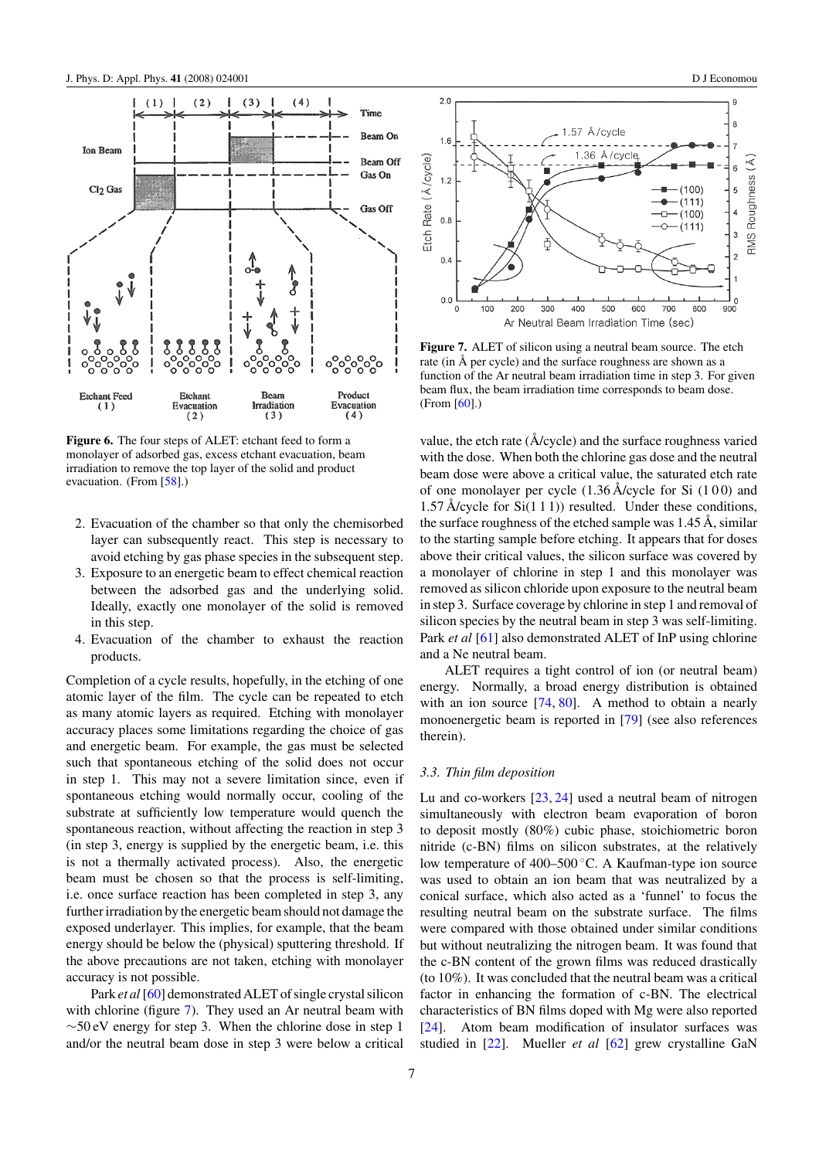<span id="page-6-0"></span>

**Figure 6.** The four steps of ALET: etchant feed to form a monolayer of adsorbed gas, excess etchant evacuation, beam irradiation to remove the top layer of the solid and product evacuation. (From [\[58\]](#page-10-0).)

- 2. Evacuation of the chamber so that only the chemisorbed layer can subsequently react. This step is necessary to avoid etching by gas phase species in the subsequent step.
- 3. Exposure to an energetic beam to effect chemical reaction between the adsorbed gas and the underlying solid. Ideally, exactly one monolayer of the solid is removed in this step.
- 4. Evacuation of the chamber to exhaust the reaction products.

Completion of a cycle results, hopefully, in the etching of one atomic layer of the film. The cycle can be repeated to etch as many atomic layers as required. Etching with monolayer accuracy places some limitations regarding the choice of gas and energetic beam. For example, the gas must be selected such that spontaneous etching of the solid does not occur in step 1. This may not a severe limitation since, even if spontaneous etching would normally occur, cooling of the substrate at sufficiently low temperature would quench the spontaneous reaction, without affecting the reaction in step 3 (in step 3, energy is supplied by the energetic beam, i.e. this is not a thermally activated process). Also, the energetic beam must be chosen so that the process is self-limiting, i.e. once surface reaction has been completed in step 3, any further irradiation by the energetic beam should not damage the exposed underlayer. This implies, for example, that the beam energy should be below the (physical) sputtering threshold. If the above precautions are not taken, etching with monolayer accuracy is not possible.

Park *et al* [\[60\]](#page-10-0) demonstrated ALET of single crystal silicon with chlorine (figure 7). They used an Ar neutral beam with  $\sim$ 50 eV energy for step 3. When the chlorine dose in step 1 and/or the neutral beam dose in step 3 were below a critical



**Figure 7.** ALET of silicon using a neutral beam source. The etch rate (in Å per cycle) and the surface roughness are shown as a function of the Ar neutral beam irradiation time in step 3. For given beam flux, the beam irradiation time corresponds to beam dose. (From [\[60\]](#page-10-0).)

value, the etch rate  $(\AA$ /cycle) and the surface roughness varied with the dose. When both the chlorine gas dose and the neutral beam dose were above a critical value, the saturated etch rate of one monolayer per cycle  $(1.36 \text{ Å/cycle}$  for Si  $(100)$  and 1.57 Å/cycle for  $Si(1 1 1)$ ) resulted. Under these conditions, the surface roughness of the etched sample was 1.45 Å, similar to the starting sample before etching. It appears that for doses above their critical values, the silicon surface was covered by a monolayer of chlorine in step 1 and this monolayer was removed as silicon chloride upon exposure to the neutral beam in step 3. Surface coverage by chlorine in step 1 and removal of silicon species by the neutral beam in step 3 was self-limiting. Park *et al* [\[61\]](#page-10-0) also demonstrated ALET of InP using chlorine and a Ne neutral beam.

ALET requires a tight control of ion (or neutral beam) energy. Normally, a broad energy distribution is obtained with an ion source  $[74, 80]$  $[74, 80]$  $[74, 80]$ . A method to obtain a nearly monoenergetic beam is reported in [\[79\]](#page-10-0) (see also references therein).

#### *3.3. Thin film deposition*

Lu and co-workers [\[23,](#page-9-0) [24\]](#page-9-0) used a neutral beam of nitrogen simultaneously with electron beam evaporation of boron to deposit mostly (80%) cubic phase, stoichiometric boron nitride (c-BN) films on silicon substrates, at the relatively low temperature of 400–500 ◦C. A Kaufman-type ion source was used to obtain an ion beam that was neutralized by a conical surface, which also acted as a 'funnel' to focus the resulting neutral beam on the substrate surface. The films were compared with those obtained under similar conditions but without neutralizing the nitrogen beam. It was found that the c-BN content of the grown films was reduced drastically (to 10%). It was concluded that the neutral beam was a critical factor in enhancing the formation of c-BN. The electrical characteristics of BN films doped with Mg were also reported [\[24\]](#page-9-0). Atom beam modification of insulator surfaces was studied in [\[22\]](#page-9-0). Mueller *et al* [\[62\]](#page-10-0) grew crystalline GaN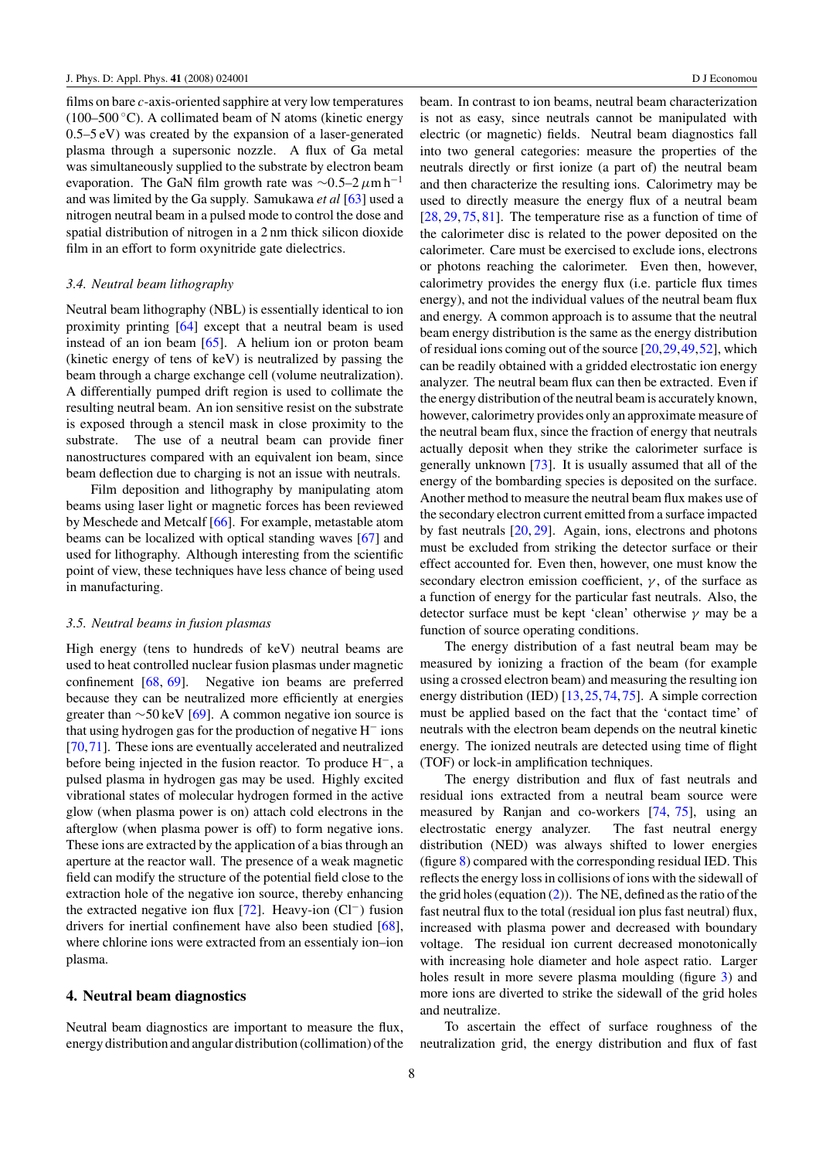<span id="page-7-0"></span>films on bare *c*-axis-oriented sapphire at very low temperatures (100–500 °C). A collimated beam of N atoms (kinetic energy 0.5–5 eV) was created by the expansion of a laser-generated plasma through a supersonic nozzle. A flux of Ga metal was simultaneously supplied to the substrate by electron beam evaporation. The GaN film growth rate was <sup>∼</sup>0*.*5–2*µ*m h−<sup>1</sup> and was limited by the Ga supply. Samukawa *et al* [\[63\]](#page-10-0) used a nitrogen neutral beam in a pulsed mode to control the dose and spatial distribution of nitrogen in a 2 nm thick silicon dioxide film in an effort to form oxynitride gate dielectrics.

#### *3.4. Neutral beam lithography*

Neutral beam lithography (NBL) is essentially identical to ion proximity printing [\[64\]](#page-10-0) except that a neutral beam is used instead of an ion beam [\[65\]](#page-10-0). A helium ion or proton beam (kinetic energy of tens of keV) is neutralized by passing the beam through a charge exchange cell (volume neutralization). A differentially pumped drift region is used to collimate the resulting neutral beam. An ion sensitive resist on the substrate is exposed through a stencil mask in close proximity to the substrate. The use of a neutral beam can provide finer nanostructures compared with an equivalent ion beam, since beam deflection due to charging is not an issue with neutrals.

Film deposition and lithography by manipulating atom beams using laser light or magnetic forces has been reviewed by Meschede and Metcalf [\[66\]](#page-10-0). For example, metastable atom beams can be localized with optical standing waves [\[67\]](#page-10-0) and used for lithography. Although interesting from the scientific point of view, these techniques have less chance of being used in manufacturing.

#### *3.5. Neutral beams in fusion plasmas*

High energy (tens to hundreds of keV) neutral beams are used to heat controlled nuclear fusion plasmas under magnetic confinement [\[68,](#page-10-0) [69\]](#page-10-0). Negative ion beams are preferred because they can be neutralized more efficiently at energies greater than ∼50 keV [\[69\]](#page-10-0). A common negative ion source is that using hydrogen gas for the production of negative H<sup>−</sup> ions [\[70,71\]](#page-10-0). These ions are eventually accelerated and neutralized before being injected in the fusion reactor. To produce H−, a pulsed plasma in hydrogen gas may be used. Highly excited vibrational states of molecular hydrogen formed in the active glow (when plasma power is on) attach cold electrons in the afterglow (when plasma power is off) to form negative ions. These ions are extracted by the application of a bias through an aperture at the reactor wall. The presence of a weak magnetic field can modify the structure of the potential field close to the extraction hole of the negative ion source, thereby enhancing the extracted negative ion flux [\[72\]](#page-10-0). Heavy-ion (Cl−*)* fusion drivers for inertial confinement have also been studied [\[68\]](#page-10-0), where chlorine ions were extracted from an essentialy ion–ion plasma.

#### **4. Neutral beam diagnostics**

Neutral beam diagnostics are important to measure the flux, energy distribution and angular distribution (collimation) of the beam. In contrast to ion beams, neutral beam characterization is not as easy, since neutrals cannot be manipulated with electric (or magnetic) fields. Neutral beam diagnostics fall into two general categories: measure the properties of the neutrals directly or first ionize (a part of) the neutral beam and then characterize the resulting ions. Calorimetry may be used to directly measure the energy flux of a neutral beam [\[28,](#page-9-0) [29,](#page-9-0) [75,](#page-10-0) [81\]](#page-10-0). The temperature rise as a function of time of the calorimeter disc is related to the power deposited on the calorimeter. Care must be exercised to exclude ions, electrons or photons reaching the calorimeter. Even then, however, calorimetry provides the energy flux (i.e. particle flux times energy), and not the individual values of the neutral beam flux and energy. A common approach is to assume that the neutral beam energy distribution is the same as the energy distribution of residual ions coming out of the source [\[20,29,49,](#page-9-0)[52\]](#page-10-0), which can be readily obtained with a gridded electrostatic ion energy analyzer. The neutral beam flux can then be extracted. Even if the energy distribution of the neutral beam is accurately known, however, calorimetry provides only an approximate measure of the neutral beam flux, since the fraction of energy that neutrals actually deposit when they strike the calorimeter surface is generally unknown [\[73\]](#page-10-0). It is usually assumed that all of the energy of the bombarding species is deposited on the surface. Another method to measure the neutral beam flux makes use of the secondary electron current emitted from a surface impacted by fast neutrals [\[20,](#page-9-0) [29\]](#page-9-0). Again, ions, electrons and photons must be excluded from striking the detector surface or their effect accounted for. Even then, however, one must know the secondary electron emission coefficient,  $\gamma$ , of the surface as a function of energy for the particular fast neutrals. Also, the detector surface must be kept 'clean' otherwise *γ* may be a function of source operating conditions.

The energy distribution of a fast neutral beam may be measured by ionizing a fraction of the beam (for example using a crossed electron beam) and measuring the resulting ion energy distribution (IED) [\[13,25,](#page-9-0)[74,75\]](#page-10-0). A simple correction must be applied based on the fact that the 'contact time' of neutrals with the electron beam depends on the neutral kinetic energy. The ionized neutrals are detected using time of flight (TOF) or lock-in amplification techniques.

The energy distribution and flux of fast neutrals and residual ions extracted from a neutral beam source were measured by Ranjan and co-workers [\[74,](#page-10-0) [75\]](#page-10-0), using an electrostatic energy analyzer. The fast neutral energy distribution (NED) was always shifted to lower energies (figure [8\)](#page-8-0) compared with the corresponding residual IED. This reflects the energy loss in collisions of ions with the sidewall of the grid holes (equation [\(2\)](#page-1-0)). The NE, defined as the ratio of the fast neutral flux to the total (residual ion plus fast neutral) flux, increased with plasma power and decreased with boundary voltage. The residual ion current decreased monotonically with increasing hole diameter and hole aspect ratio. Larger holes result in more severe plasma moulding (figure [3\)](#page-2-0) and more ions are diverted to strike the sidewall of the grid holes and neutralize.

To ascertain the effect of surface roughness of the neutralization grid, the energy distribution and flux of fast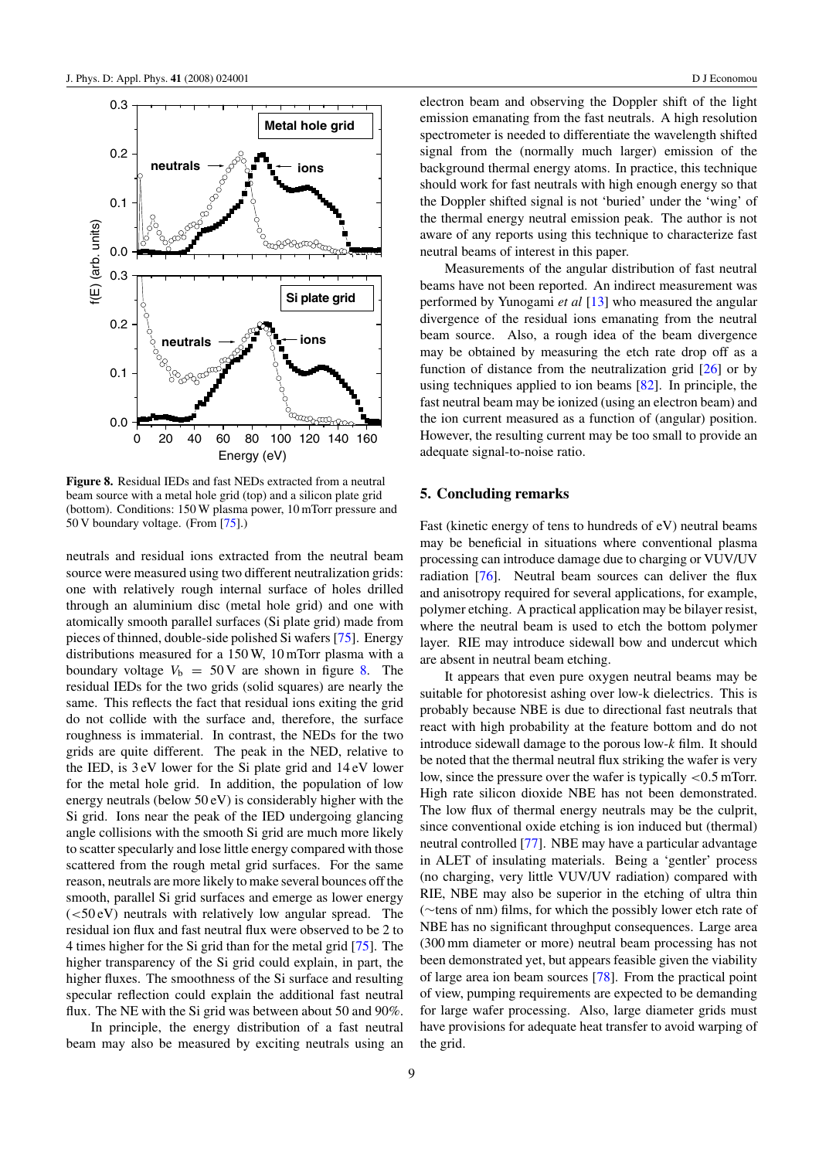<span id="page-8-0"></span>

**Figure 8.** Residual IEDs and fast NEDs extracted from a neutral beam source with a metal hole grid (top) and a silicon plate grid (bottom). Conditions: 150 W plasma power, 10 mTorr pressure and 50 V boundary voltage. (From [\[75\]](#page-10-0).)

neutrals and residual ions extracted from the neutral beam source were measured using two different neutralization grids: one with relatively rough internal surface of holes drilled through an aluminium disc (metal hole grid) and one with atomically smooth parallel surfaces (Si plate grid) made from pieces of thinned, double-side polished Si wafers [\[75\]](#page-10-0). Energy distributions measured for a 150 W, 10 mTorr plasma with a boundary voltage  $V_b = 50 \text{ V}$  are shown in figure 8. The residual IEDs for the two grids (solid squares) are nearly the same. This reflects the fact that residual ions exiting the grid do not collide with the surface and, therefore, the surface roughness is immaterial. In contrast, the NEDs for the two grids are quite different. The peak in the NED, relative to the IED, is 3 eV lower for the Si plate grid and 14 eV lower for the metal hole grid. In addition, the population of low energy neutrals (below 50 eV) is considerably higher with the Si grid. Ions near the peak of the IED undergoing glancing angle collisions with the smooth Si grid are much more likely to scatter specularly and lose little energy compared with those scattered from the rough metal grid surfaces. For the same reason, neutrals are more likely to make several bounces off the smooth, parallel Si grid surfaces and emerge as lower energy (*<*50 eV) neutrals with relatively low angular spread. The residual ion flux and fast neutral flux were observed to be 2 to 4 times higher for the Si grid than for the metal grid [\[75\]](#page-10-0). The higher transparency of the Si grid could explain, in part, the higher fluxes. The smoothness of the Si surface and resulting specular reflection could explain the additional fast neutral flux. The NE with the Si grid was between about 50 and 90%.

In principle, the energy distribution of a fast neutral beam may also be measured by exciting neutrals using an electron beam and observing the Doppler shift of the light emission emanating from the fast neutrals. A high resolution spectrometer is needed to differentiate the wavelength shifted signal from the (normally much larger) emission of the background thermal energy atoms. In practice, this technique should work for fast neutrals with high enough energy so that the Doppler shifted signal is not 'buried' under the 'wing' of the thermal energy neutral emission peak. The author is not aware of any reports using this technique to characterize fast neutral beams of interest in this paper.

Measurements of the angular distribution of fast neutral beams have not been reported. An indirect measurement was performed by Yunogami *et al* [\[13\]](#page-9-0) who measured the angular divergence of the residual ions emanating from the neutral beam source. Also, a rough idea of the beam divergence may be obtained by measuring the etch rate drop off as a function of distance from the neutralization grid [\[26\]](#page-9-0) or by using techniques applied to ion beams [\[82\]](#page-10-0). In principle, the fast neutral beam may be ionized (using an electron beam) and the ion current measured as a function of (angular) position. However, the resulting current may be too small to provide an adequate signal-to-noise ratio.

# **5. Concluding remarks**

Fast (kinetic energy of tens to hundreds of eV) neutral beams may be beneficial in situations where conventional plasma processing can introduce damage due to charging or VUV/UV radiation [\[76\]](#page-10-0). Neutral beam sources can deliver the flux and anisotropy required for several applications, for example, polymer etching. A practical application may be bilayer resist, where the neutral beam is used to etch the bottom polymer layer. RIE may introduce sidewall bow and undercut which are absent in neutral beam etching.

It appears that even pure oxygen neutral beams may be suitable for photoresist ashing over low-k dielectrics. This is probably because NBE is due to directional fast neutrals that react with high probability at the feature bottom and do not introduce sidewall damage to the porous low-*k* film. It should be noted that the thermal neutral flux striking the wafer is very low, since the pressure over the wafer is typically *<*0*.*5 mTorr. High rate silicon dioxide NBE has not been demonstrated. The low flux of thermal energy neutrals may be the culprit, since conventional oxide etching is ion induced but (thermal) neutral controlled [\[77\]](#page-10-0). NBE may have a particular advantage in ALET of insulating materials. Being a 'gentler' process (no charging, very little VUV/UV radiation) compared with RIE, NBE may also be superior in the etching of ultra thin (∼tens of nm) films, for which the possibly lower etch rate of NBE has no significant throughput consequences. Large area (300 mm diameter or more) neutral beam processing has not been demonstrated yet, but appears feasible given the viability of large area ion beam sources [\[78\]](#page-10-0). From the practical point of view, pumping requirements are expected to be demanding for large wafer processing. Also, large diameter grids must have provisions for adequate heat transfer to avoid warping of the grid.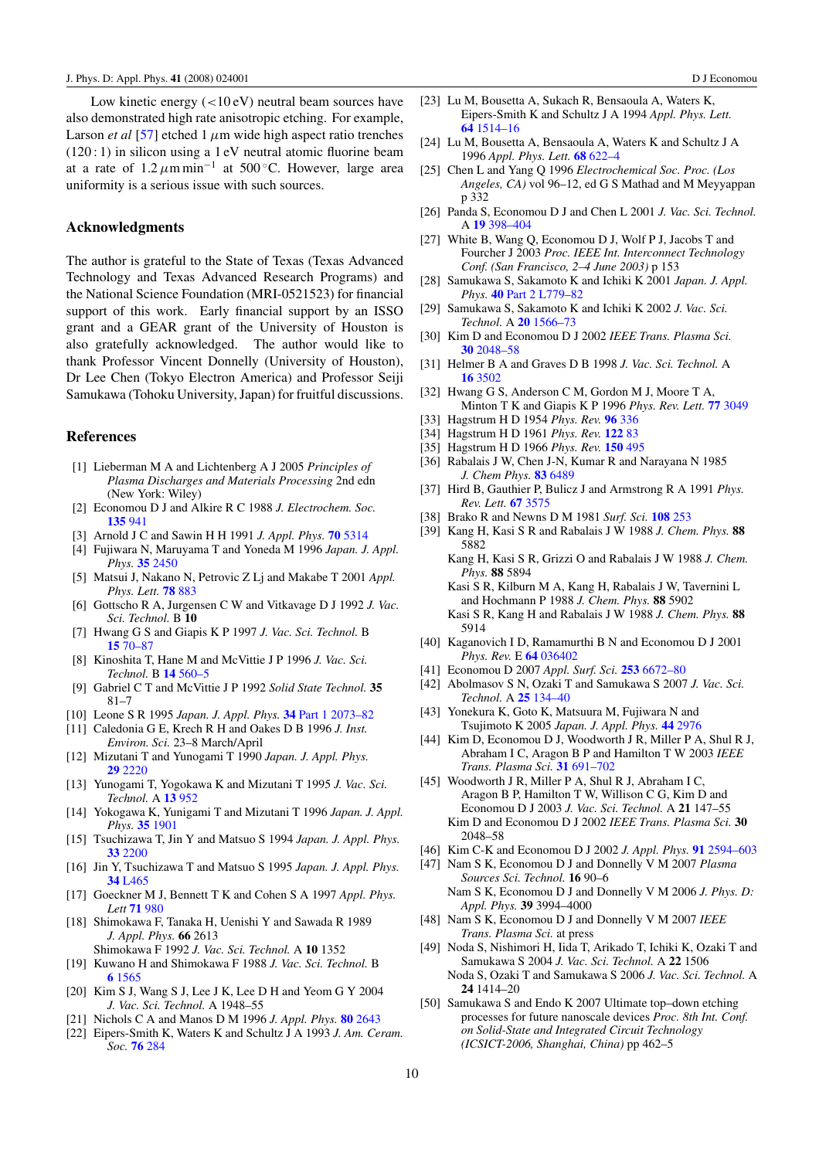<span id="page-9-0"></span>Low kinetic energy (*<*10 eV) neutral beam sources have also demonstrated high rate anisotropic etching. For example, Larson *et al* [\[57\]](#page-10-0) etched 1  $\mu$ m wide high aspect ratio trenches  $(120:1)$  in silicon using a 1 eV neutral atomic fluorine beam at a rate of  $1.2 \mu m \text{ min}^{-1}$  at 500 °C. However, large area uniformity is a serious issue with such sources.

## **Acknowledgments**

The author is grateful to the State of Texas (Texas Advanced Technology and Texas Advanced Research Programs) and the National Science Foundation (MRI-0521523) for financial support of this work. Early financial support by an ISSO grant and a GEAR grant of the University of Houston is also gratefully acknowledged. The author would like to thank Professor Vincent Donnelly (University of Houston), Dr Lee Chen (Tokyo Electron America) and Professor Seiji Samukawa (Tohoku University, Japan) for fruitful discussions.

### **References**

- [1] Lieberman M A and Lichtenberg A J 2005 *Principles of Plasma Discharges and Materials Processing* 2nd edn (New York: Wiley)
- [2] Economou D J and Alkire R C 1988 *J. Electrochem. Soc.* **[135](http://dx.doi.org/10.1149/1.2095842)** 941
- [3] Arnold J C and Sawin H H 1991 *J. Appl. Phys.* **70** [5314](http://dx.doi.org/10.1063/1.350241)
- [4] Fujiwara N, Maruyama T and Yoneda M 1996 *Japan. J. Appl. Phys.* **35** [2450](http://dx.doi.org/10.1143/JJAP.35.2450)
- [5] Matsui J, Nakano N, Petrovic Z Lj and Makabe T 2001 *Appl. Phys. Lett.* **78** [883](http://dx.doi.org/10.1063/1.1347021)
- [6] Gottscho R A, Jurgensen C W and Vitkavage D J 1992 *J. Vac. Sci. Technol.* B **10**
- [7] Hwang G S and Giapis K P 1997 *J. Vac. Sci. Technol.* B **15** [70–87](http://dx.doi.org/10.1116/1.589258)
- [8] Kinoshita T, Hane M and McVittie J P 1996 *J. Vac. Sci. Technol.* B **14** [560–5](http://dx.doi.org/10.1116/1.588431)
- [9] Gabriel C T and McVittie J P 1992 *Solid State Technol.* **35** 81–7
- [10] Leone S R 1995 *Japan. J. Appl. Phys.* **34** [Part 1 2073–82](http://dx.doi.org/10.1143/JJAP.34.2073)
- [11] Caledonia G E, Krech R H and Oakes D B 1996 *J. Inst. Environ. Sci.* 23–8 March/April
- [12] Mizutani T and Yunogami T 1990 *Japan. J. Appl. Phys.* **29** [2220](http://dx.doi.org/10.1143/JJAP.29.2220)
- [13] Yunogami T, Yogokawa K and Mizutani T 1995 *J. Vac. Sci. Technol.* A **13** [952](http://dx.doi.org/10.1116/1.579657)
- [14] Yokogawa K, Yunigami T and Mizutani T 1996 *Japan. J. Appl. Phys.* **35** [1901](http://dx.doi.org/10.1143/JJAP.35.1901)
- [15] Tsuchizawa T, Jin Y and Matsuo S 1994 *Japan. J. Appl. Phys.* **33** [2200](http://dx.doi.org/10.1143/JJAP.33.2200)
- [16] Jin Y, Tsuchizawa T and Matsuo S 1995 *Japan. J. Appl. Phys.* **34** [L465](http://dx.doi.org/10.1143/JJAP.34.L465)
- [17] Goeckner M J, Bennett T K and Cohen S A 1997 *Appl. Phys. Lett* **71** [980](http://dx.doi.org/10.1063/1.119706)
- [18] Shimokawa F, Tanaka H, Uenishi Y and Sawada R 1989 *J. Appl. Phys.* **66** 2613
- Shimokawa F 1992 *J. Vac. Sci. Technol.* A **10** 1352 [19] Kuwano H and Shimokawa F 1988 *J. Vac. Sci. Technol.* B **6** [1565](http://dx.doi.org/10.1116/1.584215)
- [20] Kim S J, Wang S J, Lee J K, Lee D H and Yeom G Y 2004 *J. Vac. Sci. Technol.* A 1948–55
- [21] Nichols C A and Manos D M 1996 *J. Appl. Phys.* **80** [2643](http://dx.doi.org/10.1063/1.363180)
- [22] Eipers-Smith K, Waters K and Schultz J A 1993 *J. Am. Ceram. Soc.* **76** [284](http://dx.doi.org/10.1111/j.1151-2916.1993.tb03781.x)
- [23] Lu M, Bousetta A, Sukach R, Bensaoula A, Waters K, Eipers-Smith K and Schultz J A 1994 *Appl. Phys. Lett.* **64** [1514–16](http://dx.doi.org/10.1063/1.111876)
- [24] Lu M, Bousetta A, Bensaoula A, Waters K and Schultz J A 1996 *Appl. Phys. Lett.* **68** [622–4](http://dx.doi.org/10.1063/1.116488)
- [25] Chen L and Yang Q 1996 *Electrochemical Soc. Proc. (Los Angeles, CA)* vol 96–12, ed G S Mathad and M Meyyappan p 332
- [26] Panda S, Economou D J and Chen L 2001 *J. Vac. Sci. Technol.* A **19** [398–404](http://dx.doi.org/10.1116/1.1344909)
- [27] White B, Wang Q, Economou D J, Wolf P J, Jacobs T and Fourcher J 2003 *Proc. IEEE Int. Interconnect Technology Conf. (San Francisco, 2–4 June 2003)* p 153
- [28] Samukawa S, Sakamoto K and Ichiki K 2001 *Japan. J. Appl. Phys.* **40** [Part 2 L779–82](http://dx.doi.org/10.1143/JJAP.40.L779)
- [29] Samukawa S, Sakamoto K and Ichiki K 2002 *J. Vac. Sci. Technol.* A **20** [1566–73](http://dx.doi.org/10.1116/1.1494820)
- [30] Kim D and Economou D J 2002 *IEEE Trans. Plasma Sci.* **30** [2048–58](http://dx.doi.org/10.1109/TPS.2002.805326)
- [31] Helmer B A and Graves D B 1998 *J. Vac. Sci. Technol.* A **16** [3502](http://dx.doi.org/10.1116/1.580993)
- [32] Hwang G S, Anderson C M, Gordon M J, Moore T A, Minton T K and Giapis K P 1996 *Phys. Rev. Lett.* **77** [3049](http://dx.doi.org/10.1103/PhysRevLett.77.3049)
- [33] Hagstrum H D 1954 *Phys. Rev.* **96** [336](http://dx.doi.org/10.1103/PhysRev.96.336)
- [34] Hagstrum H D 1961 *Phys. Rev.* **[122](http://dx.doi.org/10.1103/PhysRev.122.83)** 83
- [35] Hagstrum H D 1966 *Phys. Rev.* **[150](http://dx.doi.org/10.1103/PhysRev.150.495)** 495
- [36] Rabalais J W, Chen J-N, Kumar R and Narayana N 1985 *J. Chem Phys.* **83** [6489](http://dx.doi.org/10.1063/1.449549)
- [37] Hird B, Gauthier P, Bulicz J and Armstrong R A 1991 *Phys. Rev. Lett.* **67** [3575](http://dx.doi.org/10.1103/PhysRevLett.67.3575)
- [38] Brako R and Newns D M 1981 *Surf. Sci.* **[108](http://dx.doi.org/10.1016/0039-6028(81)90448-9)** 253
- [39] Kang H, Kasi S R and Rabalais J W 1988 *J. Chem. Phys.* **88** 5882
	- Kang H, Kasi S R, Grizzi O and Rabalais J W 1988 *J. Chem. Phys.* **88** 5894

Kasi S R, Kilburn M A, Kang H, Rabalais J W, Tavernini L and Hochmann P 1988 *J. Chem. Phys.* **88** 5902 Kasi S R, Kang H and Rabalais J W 1988 *J. Chem. Phys.* **88** 5914

- [40] Kaganovich I D, Ramamurthi B N and Economou D J 2001 *Phys. Rev.* E **64** [036402](http://dx.doi.org/10.1103/PhysRevE.64.036402)
- [41] Economou D 2007 *Appl. Surf. Sci.* **253** [6672–80](http://dx.doi.org/10.1016/j.apsusc.2007.02.004)
- [42] Abolmasov S N, Ozaki T and Samukawa S 2007 *J. Vac. Sci. Technol.* A **25** [134–40](http://dx.doi.org/10.1116/1.2402154)
- [43] Yonekura K, Goto K, Matsuura M, Fujiwara N and Tsujimoto K 2005 *Japan. J. Appl. Phys.* **44** [2976](http://dx.doi.org/10.1143/JJAP.44.2976)
- [44] Kim D, Economou D J, Woodworth J R, Miller P A, Shul R J, Abraham I C, Aragon B P and Hamilton T W 2003 *IEEE Trans. Plasma Sci.* **31** [691–702](http://dx.doi.org/10.1109/TPS.2003.815248)
- [45] Woodworth J R, Miller P A, Shul R J, Abraham I C, Aragon B P, Hamilton T W, Willison C G, Kim D and Economou D J 2003 *J. Vac. Sci. Technol.* A **21** 147–55 Kim D and Economou D J 2002 *IEEE Trans. Plasma Sci.* **30** 2048–58
- [46] Kim C-K and Economou D J 2002 *J. Appl. Phys.* **91** [2594–603](http://dx.doi.org/10.1063/1.1435423)
- [47] Nam S K, Economou D J and Donnelly V M 2007 *Plasma Sources Sci. Technol.* **16** 90–6
	- Nam S K, Economou D J and Donnelly V M 2006 *J. Phys. D: Appl. Phys.* **39** 3994–4000
- [48] Nam S K, Economou D J and Donnelly V M 2007 *IEEE Trans. Plasma Sci.* at press
- [49] Noda S, Nishimori H, Iida T, Arikado T, Ichiki K, Ozaki T and Samukawa S 2004 *J. Vac. Sci. Technol.* A **22** 1506
	- Noda S, Ozaki T and Samukawa S 2006 *J. Vac. Sci. Technol.* A **24** 1414–20
- [50] Samukawa S and Endo K 2007 Ultimate top–down etching processes for future nanoscale devices *Proc. 8th Int. Conf. on Solid-State and Integrated Circuit Technology (ICSICT-2006, Shanghai, China)* pp 462–5